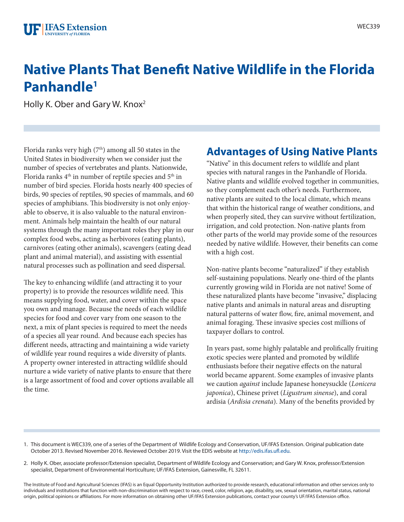# **Native Plants That Benefit Native Wildlife in the Florida Panhandle1**

Holly K. Ober and Gary W. Knox2

Florida ranks very high  $(7<sup>th</sup>)$  among all 50 states in the United States in biodiversity when we consider just the number of species of vertebrates and plants. Nationwide, Florida ranks  $4<sup>th</sup>$  in number of reptile species and  $5<sup>th</sup>$  in number of bird species. Florida hosts nearly 400 species of birds, 90 species of reptiles, 90 species of mammals, and 60 species of amphibians. This biodiversity is not only enjoyable to observe, it is also valuable to the natural environment. Animals help maintain the health of our natural systems through the many important roles they play in our complex food webs, acting as herbivores (eating plants), carnivores (eating other animals), scavengers (eating dead plant and animal material), and assisting with essential natural processes such as pollination and seed dispersal.

The key to enhancing wildlife (and attracting it to your property) is to provide the resources wildlife need. This means supplying food, water, and cover within the space you own and manage. Because the needs of each wildlife species for food and cover vary from one season to the next, a mix of plant species is required to meet the needs of a species all year round. And because each species has different needs, attracting and maintaining a wide variety of wildlife year round requires a wide diversity of plants. A property owner interested in attracting wildlife should nurture a wide variety of native plants to ensure that there is a large assortment of food and cover options available all the time.

### **Advantages of Using Native Plants**

"Native" in this document refers to wildlife and plant species with natural ranges in the Panhandle of Florida. Native plants and wildlife evolved together in communities, so they complement each other's needs. Furthermore, native plants are suited to the local climate, which means that within the historical range of weather conditions, and when properly sited, they can survive without fertilization, irrigation, and cold protection. Non-native plants from other parts of the world may provide some of the resources needed by native wildlife. However, their benefits can come with a high cost.

Non-native plants become "naturalized" if they establish self-sustaining populations. Nearly one-third of the plants currently growing wild in Florida are not native! Some of these naturalized plants have become "invasive," displacing native plants and animals in natural areas and disrupting natural patterns of water flow, fire, animal movement, and animal foraging. These invasive species cost millions of taxpayer dollars to control.

In years past, some highly palatable and prolifically fruiting exotic species were planted and promoted by wildlife enthusiasts before their negative effects on the natural world became apparent. Some examples of invasive plants we caution *against* include Japanese honeysuckle (*Lonicera japonica*), Chinese privet (*Ligustrum sinense*), and coral ardisia (*Ardisia crenata*). Many of the benefits provided by

- 1. This document is WEC339, one of a series of the Department of Wildlife Ecology and Conservation, UF/IFAS Extension. Original publication date October 2013. Revised November 2016. Reviewed October 2019. Visit the EDIS website at [http://edis.ifas.ufl.edu.](http://edis.ifas.ufl.edu)
- 2. Holly K. Ober, associate professor/Extension specialist, Department of Wildlife Ecology and Conservation; and Gary W. Knox, professor/Extension specialist, Department of Environmental Horticulture; UF/IFAS Extension, Gainesville, FL 32611.

The Institute of Food and Agricultural Sciences (IFAS) is an Equal Opportunity Institution authorized to provide research, educational information and other services only to individuals and institutions that function with non-discrimination with respect to race, creed, color, religion, age, disability, sex, sexual orientation, marital status, national origin, political opinions or affiliations. For more information on obtaining other UF/IFAS Extension publications, contact your county's UF/IFAS Extension office.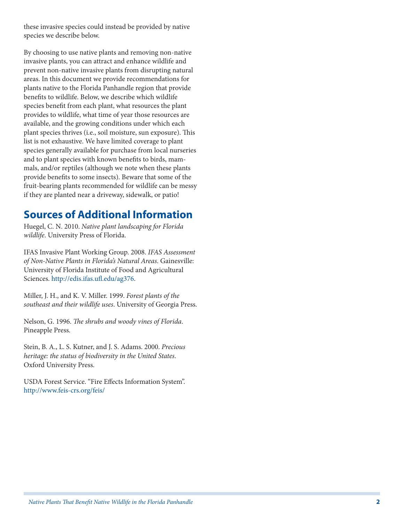these invasive species could instead be provided by native species we describe below.

By choosing to use native plants and removing non-native invasive plants, you can attract and enhance wildlife and prevent non-native invasive plants from disrupting natural areas. In this document we provide recommendations for plants native to the Florida Panhandle region that provide benefits to wildlife. Below, we describe which wildlife species benefit from each plant, what resources the plant provides to wildlife, what time of year those resources are available, and the growing conditions under which each plant species thrives (i.e., soil moisture, sun exposure). This list is not exhaustive. We have limited coverage to plant species generally available for purchase from local nurseries and to plant species with known benefits to birds, mam mals, and/or reptiles (although we note when these plants provide benefits to some insects). Beware that some of the fruit-bearing plants recommended for wildlife can be messy if they are planted near a driveway, sidewalk, or patio!

## **Sources of Additional Information**

Huegel, C. N. 2010. *Native plant landscaping for Florida wildlife*. University Press of Florida.

IFAS Invasive Plant Working Group. 2008. *IFAS Assessment of Non-Native Plants in Florida's Natural Areas*. Gainesville: University of Florida Institute of Food and Agricultural Sciences. <http://edis.ifas.ufl.edu/ag376> .

Miller, J. H., and K. V. Miller. 1999. *Forest plants of the southeast and their wildlife uses*. University of Georgia Press.

Nelson, G. 1996. *The shrubs and woody vines of Florida*. Pineapple Press.

Stein, B. A., L. S. Kutner, and J. S. Adams. 2000. *Precious heritage: the status of biodiversity in the United States*. Oxford University Press.

USDA Forest Service. "Fire Effects Information System". <http://www.feis-crs.org/feis/>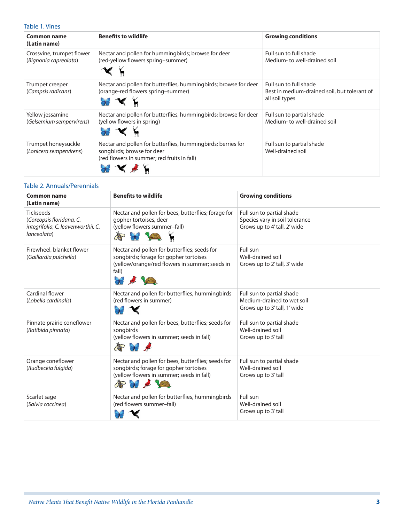Table 1. Vines

| Common name<br>(Latin name)                        | <b>Benefits to wildlife</b>                                                                                                               | <b>Growing conditions</b>                                                                |
|----------------------------------------------------|-------------------------------------------------------------------------------------------------------------------------------------------|------------------------------------------------------------------------------------------|
| Crossvine, trumpet flower<br>(Bignonia capreolata) | Nectar and pollen for humming birds; browse for deer<br>(red-yellow flowers spring-summer)                                                | Full sun to full shade<br>Medium-to well-drained soil                                    |
| Trumpet creeper<br>(Campsis radicans)              | Nectar and pollen for butterflies, humming birds; browse for deer<br>(orange-red flowers spring-summer)                                   | Full sun to full shade<br>Best in medium-drained soil, but tolerant of<br>all soil types |
| Yellow jessamine<br>(Gelsemium sempervirens)       | Nectar and pollen for butterflies, hummingbirds; browse for deer<br>(yellow flowers in spring)                                            | Full sun to partial shade<br>Medium-to well-drained soil                                 |
| Trumpet honeysuckle<br>(Lonicera sempervirens)     | Nectar and pollen for butterflies, hummingbirds; berries for<br>songbirds; browse for deer<br>(red flowers in summer; red fruits in fall) | Full sun to partial shade<br>Well-drained soil                                           |

#### Table 2. Annuals/Perennials

| <b>Common name</b><br>(Latin name)                                                                | <b>Benefits to wildlife</b>                                                                                                                        | <b>Growing conditions</b>                                                                   |
|---------------------------------------------------------------------------------------------------|----------------------------------------------------------------------------------------------------------------------------------------------------|---------------------------------------------------------------------------------------------|
| <b>Tickseeds</b><br>(Coreopsis floridana, C.<br>integrifolia, C. leavenworthii, C.<br>lanceolata) | Nectar and pollen for bees, butterflies; forage for<br>gopher tortoises, deer<br>(yellow flowers summer-fall)<br>& * 1946                          | Full sun to partial shade<br>Species vary in soil tolerance<br>Grows up to 4' tall, 2' wide |
| Firewheel, blanket flower<br>(Gaillardia pulchella)                                               | Nectar and pollen for butterflies; seeds for<br>songbirds; forage for gopher tortoises<br>(yellow/orange/red flowers in summer; seeds in<br>fall)  | Full sun<br>Well-drained soil<br>Grows up to 2' tall, 3' wide                               |
| Cardinal flower<br>(Lobelia cardinalis)                                                           | Nectar and pollen for butterflies, hummingbirds<br>(red flowers in summer)                                                                         | Full sun to partial shade<br>Medium-drained to wet soil<br>Grows up to 3' tall, 1' wide     |
| Pinnate prairie coneflower<br>(Ratibida pinnata)                                                  | Nectar and pollen for bees, butterflies; seeds for<br>songbirds<br>(yellow flowers in summer; seeds in fall)<br>A NA                               | Full sun to partial shade<br>Well-drained soil<br>Grows up to 5' tall                       |
| Orange coneflower<br>(Rudbeckia fulgida)                                                          | Nectar and pollen for bees, butterflies; seeds for<br>songbirds; forage for gopher tortoises<br>(yellow flowers in summer; seeds in fall)<br>ANT A | Full sun to partial shade<br>Well-drained soil<br>Grows up to 3' tall                       |
| Scarlet sage<br>(Salvia coccinea)                                                                 | Nectar and pollen for butterflies, hummingbirds<br>(red flowers summer-fall)                                                                       | Full sun<br>Well-drained soil<br>Grows up to 3' tall                                        |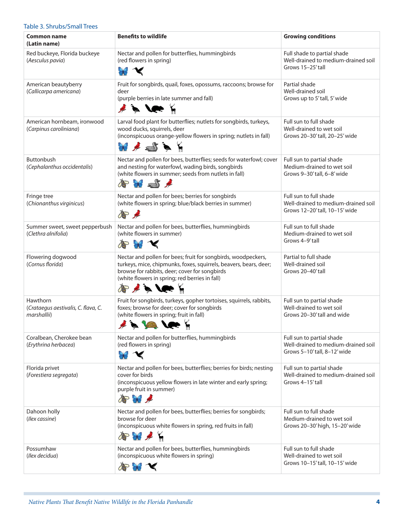#### Table 3. Shrubs/Small Trees

| <b>Common name</b><br>(Latin name)                             | <b>Benefits to wildlife</b>                                                                                                                                                                                                                            | <b>Growing conditions</b>                                                                        |
|----------------------------------------------------------------|--------------------------------------------------------------------------------------------------------------------------------------------------------------------------------------------------------------------------------------------------------|--------------------------------------------------------------------------------------------------|
| Red buckeye, Florida buckeye<br>(Aesculus pavia)               | Nectar and pollen for butterflies, hummingbirds<br>(red flowers in spring)                                                                                                                                                                             | Full shade to partial shade<br>Well-drained to medium-drained soil<br>Grows 15-25' tall          |
| American beautyberry<br>(Callicarpa americana)                 | Fruit for songbirds, quail, foxes, opossums, raccoons; browse for<br>deer<br>(purple berries in late summer and fall)<br>$\rightarrow$ by $\rightarrow$ $\rightarrow$                                                                                  | Partial shade<br>Well-drained soil<br>Grows up to 5' tall, 5' wide                               |
| American hornbeam, ironwood<br>(Carpinus caroliniana)          | Larval food plant for butterflies; nutlets for songbirds, turkeys,<br>wood ducks, squirrels, deer<br>(inconspicuous orange-yellow flowers in spring; nutlets in fall)<br>$H \rightarrow S$                                                             | Full sun to full shade<br>Well-drained to wet soil<br>Grows 20-30'tall, 20-25' wide              |
| Buttonbush<br>(Cephalanthus occidentalis)                      | Nectar and pollen for bees, butterflies; seeds for waterfowl; cover<br>and nesting for waterfowl, wading birds, songbirds<br>(white flowers in summer; seeds from nutlets in fall)<br>$\frac{1}{2}$                                                    | Full sun to partial shade<br>Medium-drained to wet soil<br>Grows 9-30'tall, 6-8' wide            |
| Fringe tree<br>(Chionanthus virginicus)                        | Nectar and pollen for bees; berries for songbirds<br>(white flowers in spring; blue/black berries in summer)<br>唐户                                                                                                                                     | Full sun to full shade<br>Well-drained to medium-drained soil<br>Grows 12-20'tall, 10-15' wide   |
| Summer sweet, sweet pepperbush<br>(Clethra alnifolia)          | Nectar and pollen for bees, butterflies, hummingbirds<br>(white flowers in summer)<br>$\sum_{i=1}^{n}$                                                                                                                                                 | Full sun to full shade<br>Medium-drained to wet soil<br>Grows 4-9'tall                           |
| Flowering dogwood<br>(Cornus florida)                          | Nectar and pollen for bees; fruit for songbirds, woodpeckers,<br>turkeys, mice, chipmunks, foxes, squirrels, beavers, bears, deer;<br>browse for rabbits, deer; cover for songbirds<br>(white flowers in spring; red berries in fall)<br>$\lambda > 1$ | Partial to full shade<br>Well-drained soil<br>Grows 20-40'tall                                   |
| Hawthorn<br>(Crataegus aestivalis, C. flava, C.<br>marshallii) | Fruit for songbirds, turkeys, gopher tortoises, squirrels, rabbits,<br>foxes; browse for deer; cover for songbirds<br>(white flowers in spring; fruit in fall)<br><b>ANGLE</b>                                                                         | Full sun to partial shade<br>Well-drained to wet soil<br>Grows 20-30' tall and wide              |
| Coralbean, Cherokee bean<br>(Erythrina herbacea)               | Nectar and pollen for butterflies, hummingbirds<br>(red flowers in spring)<br>$\mathbf{X}$                                                                                                                                                             | Full sun to partial shade<br>Well-drained to medium-drained soil<br>Grows 5-10' tall, 8-12' wide |
| Florida privet<br>(Forestiera segregata)                       | Nectar and pollen for bees, butterflies; berries for birds; nesting<br>cover for birds<br>(inconspicuous yellow flowers in late winter and early spring;<br>purple fruit in summer)<br>$\bigotimes$                                                    | Full sun to partial shade<br>Well-drained to medium-drained soil<br>Grows 4-15' tall             |
| Dahoon holly<br>(llex cassine)                                 | Nectar and pollen for bees, butterflies; berries for songbirds;<br>browse for deer<br>(inconspicuous white flowers in spring, red fruits in fall)<br>全元产品                                                                                              | Full sun to full shade<br>Medium-drained to wet soil<br>Grows 20-30' high, 15-20' wide           |
| Possumhaw<br>(Ilex decidua)                                    | Nectar and pollen for bees, butterflies, hummingbirds<br>(inconspicuous white flowers in spring)<br>$\gg$ $\sim$                                                                                                                                       | Full sun to full shade<br>Well-drained to wet soil<br>Grows 10-15' tall, 10-15' wide             |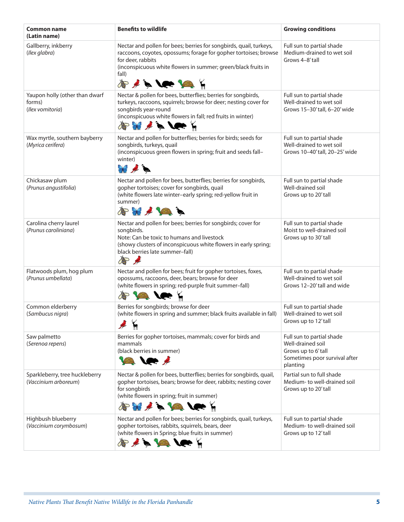| <b>Common name</b><br>(Latin name)                           | <b>Benefits to wildlife</b>                                                                                                                                                                                                                              | <b>Growing conditions</b>                                                                                          |
|--------------------------------------------------------------|----------------------------------------------------------------------------------------------------------------------------------------------------------------------------------------------------------------------------------------------------------|--------------------------------------------------------------------------------------------------------------------|
| Gallberry, inkberry<br>(llex glabra)                         | Nectar and pollen for bees; berries for songbirds, quail, turkeys,<br>raccoons, coyotes, opossums; forage for gopher tortoises; browse<br>for deer, rabbits<br>(inconspicuous white flowers in summer; green/black fruits in<br>fall)<br>AILLELA         | Full sun to partial shade<br>Medium-drained to wet soil<br>Grows 4-8'tall                                          |
| Yaupon holly (other than dwarf<br>forms)<br>(Ilex vomitoria) | Nectar & pollen for bees, butterflies; berries for songbirds,<br>turkeys, raccoons, squirrels; browse for deer; nesting cover for<br>songbirds year-round<br>(inconspicuous white flowers in fall; red fruits in winter)<br>$\lambda \rightarrow \infty$ | Full sun to partial shade<br>Well-drained to wet soil<br>Grows 15-30'tall, 6-20' wide                              |
| Wax myrtle, southern bayberry<br>(Myrica cerifera)           | Nectar and pollen for butterflies; berries for birds; seeds for<br>songbirds, turkeys, quail<br>(inconspicuous green flowers in spring; fruit and seeds fall-<br>winter)<br>$\mathcal{R}$                                                                | Full sun to partial shade<br>Well-drained to wet soil<br>Grows 10-40'tall, 20-25' wide                             |
| Chickasaw plum<br>(Prunus angustifolia)                      | Nectar and pollen for bees, butterflies; berries for songbirds,<br>gopher tortoises; cover for songbirds, quail<br>(white flowers late winter-early spring; red-yellow fruit in<br>summer)<br>A H / LA                                                   | Full sun to partial shade<br>Well-drained soil<br>Grows up to 20' tall                                             |
| Carolina cherry laurel<br>(Prunus caroliniana)               | Nectar and pollen for bees; berries for songbirds; cover for<br>songbirds.<br>Note: Can be toxic to humans and livestock<br>(showy clusters of inconspicuous white flowers in early spring;<br>black berries late summer-fall)<br><b>高一</b>              | Full sun to partial shade<br>Moist to well-drained soil<br>Grows up to 30' tall                                    |
| Flatwoods plum, hog plum<br>(Prunus umbellata)               | Nectar and pollen for bees; fruit for gopher tortoises, foxes,<br>opossums, raccoons, deer, bears; browse for deer<br>(white flowers in spring; red-purple fruit summer-fall)<br>AP                                                                      | Full sun to partial shade<br>Well-drained to wet soil<br>Grows 12-20' tall and wide                                |
| Common elderberry<br>(Sambucus nigra)                        | Berries for songbirds; browse for deer<br>(white flowers in spring and summer; black fruits available in fall)                                                                                                                                           | Full sun to partial shade<br>Well-drained to wet soil<br>Grows up to 12' tall                                      |
| Saw palmetto<br>(Serenoa repens)                             | Berries for gopher tortoises, mammals; cover for birds and<br>mammals<br>(black berries in summer)<br><b>B</b> Ver                                                                                                                                       | Full sun to partial shade<br>Well-drained soil<br>Grows up to 6' tall<br>Sometimes poor survival after<br>planting |
| Sparkleberry, tree huckleberry<br>(Vaccinium arboreum)       | Nectar & pollen for bees, butterflies; berries for songbirds, quail,<br>gopher tortoises, bears; browse for deer, rabbits; nesting cover<br>for songbirds<br>(white flowers in spring; fruit in summer)<br><b>ANISLAVE</b>                               | Partial sun to full shade<br>Medium-to well-drained soil<br>Grows up to 20' tall                                   |
| Highbush blueberry<br>(Vaccinium corymbosum)                 | Nectar and pollen for bees; berries for songbirds, quail, turkeys,<br>gopher tortoises, rabbits, squirrels, bears, deer<br>(white flowers in Spring; blue fruits in summer)<br>$A \cup A$                                                                | Full sun to partial shade<br>Medium-to well-drained soil<br>Grows up to 12' tall                                   |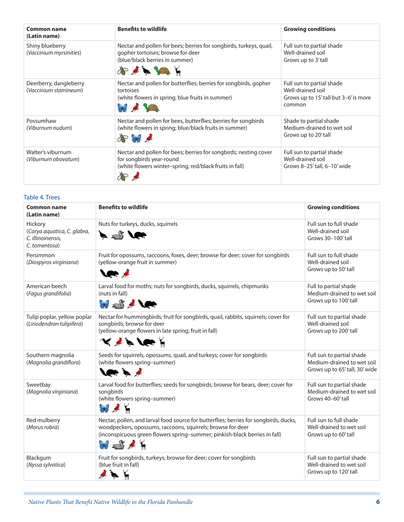| <b>Common name</b><br>(Latin name)              | <b>Benefits to wildlife</b>                                                                                                                             | <b>Growing conditions</b>                                                                         |
|-------------------------------------------------|---------------------------------------------------------------------------------------------------------------------------------------------------------|---------------------------------------------------------------------------------------------------|
| Shiny blueberry<br>(Vaccinium myrsinities)      | Nectar and pollen for bees; berries for songbirds, turkeys, quail,<br>gopher tortoises; browse for deer<br>(blue/black berries in summer)<br>今人了吗       | Full sun to partial shade<br>Well-drained soil<br>Grows up to 3' tall                             |
| Deerberry, dangleberry<br>(Vaccinium stamineum) | Nectar and pollen for butterflies; berries for songbirds, gopher<br>tortoises<br>(white flowers in spring; blue fruits in summer)<br>$\sum_{i=1}^{n}$   | Full sun to partial shade<br>Well-drained soil<br>Grows up to 15' tall but 3-6' is more<br>common |
| Possumhaw<br>(Viburnum nudum)                   | Nectar and pollen for bees, butterflies; berries for songbirds<br>(white flowers in spring; blue/black fruits in summer)                                | Shade to partial shade<br>Medium-drained to wet soil<br>Grows up to 20' tall                      |
| Walter's viburnum<br>(Viburnum obovatum)        | Nectar and pollen for bees; berries for songbirds; nesting cover<br>for songbirds year-round<br>(white flowers winter-spring; red/black fruits in fall) | Full sun to partial shade<br>Well-drained soil<br>Grows 8-25' tall, 6-10' wide                    |

#### Table 4. Trees

| <b>Common name</b><br>(Latin name)                                           | <b>Benefits to wildlife</b>                                                                                                                                                                                                                                                                                                                                                                                                                                                                | <b>Growing conditions</b>                                                                 |
|------------------------------------------------------------------------------|--------------------------------------------------------------------------------------------------------------------------------------------------------------------------------------------------------------------------------------------------------------------------------------------------------------------------------------------------------------------------------------------------------------------------------------------------------------------------------------------|-------------------------------------------------------------------------------------------|
| Hickory<br>(Carya aquatica, C. glabra,<br>C. illinoinensis,<br>C. tomentosa) | Nuts for turkeys, ducks, squirrels<br>$\mathcal{A}$ is the $\mathcal{A}$                                                                                                                                                                                                                                                                                                                                                                                                                   | Full sun to full shade<br>Well-drained soil<br>Grows 30-100'tall                          |
| Persimmon<br>(Diospyros virginiana)                                          | Fruit for opossums, raccoons, foxes, deer; browse for deer; cover for songbirds<br>(yellow-orange fruit in summer)<br><b>Vet 2</b>                                                                                                                                                                                                                                                                                                                                                         | Full sun to full shade<br>Well-drained soil<br>Grows up to 50' tall                       |
| American beech<br>(Fagus grandifolia)                                        | Larval food for moths; nuts for songbirds, ducks, squirrels, chipmunks<br>(nuts in fall)<br>$H \triangleleft H$                                                                                                                                                                                                                                                                                                                                                                            | Full to partial shade<br>Medium-drained to wet soil<br>Grows up to 100'tall               |
| Tulip poplar, yellow poplar<br>(Liriodendron tulipifera)                     | Nectar for hummingbirds; fruit for songbirds, quail, rabbits, squirrels; cover for<br>songbirds; browse for deer<br>(yellow-orange flowers in late spring; fruit in fall)<br><b>YINGH</b>                                                                                                                                                                                                                                                                                                  | Full sun to partial shade<br>Well-drained soil<br>Grows up to 200' tall                   |
| Southern magnolia<br>(Magnolia grandiflora)                                  | Seeds for squirrels, opossums, quail, and turkeys; cover for songbirds<br>(white flowers spring-summer)<br><b>VARIER</b>                                                                                                                                                                                                                                                                                                                                                                   | Full sun to partial shade<br>Medium-drained to wet soil<br>Grows up to 65' tall, 30' wide |
| Sweetbay<br>(Magnolia virginiana)                                            | Larval food for butterflies; seeds for songbirds; browse for bears, deer; cover for<br>songbirds<br>(white flowers spring-summer)<br>$\mathcal{H} \neq \mathcal{C}$                                                                                                                                                                                                                                                                                                                        | Full sun to partial shade<br>Medium-drained to wet soil<br>Grows 40-60'tall               |
| Red mulberry<br>(Morus rubra)                                                | Nectar, pollen, and larval food source for butterflies; berries for songbirds, ducks,<br>woodpeckers, opossums, raccoons, squirrels; browse for deer<br>(inconspicuous green flowers spring-summer; pinkish-black berries in fall)<br>$\mathcal{H} \trianglelefteq f$                                                                                                                                                                                                                      | Full sun to full shade<br>Well-drained to wet soil<br>Grows up to 60' tall                |
| Blackgum<br>(Nyssa sylvatica)                                                | Fruit for songbirds, turkeys; browse for deer; cover for songbirds<br>(blue fruit in fall)<br>$\begin{picture}(20,5) \put(0,0){\vector(0,1){30}} \put(15,0){\vector(0,1){30}} \put(15,0){\vector(0,1){30}} \put(15,0){\vector(0,1){30}} \put(15,0){\vector(0,1){30}} \put(15,0){\vector(0,1){30}} \put(15,0){\vector(0,1){30}} \put(15,0){\vector(0,1){30}} \put(15,0){\vector(0,1){30}} \put(15,0){\vector(0,1){30}} \put(15,0){\vector(0,1){30}} \put(15,0){\vector(0,$<br>$\frac{1}{2}$ | Full sun to partial shade<br>Well-drained to wet soil<br>Grows up to 120' tall            |